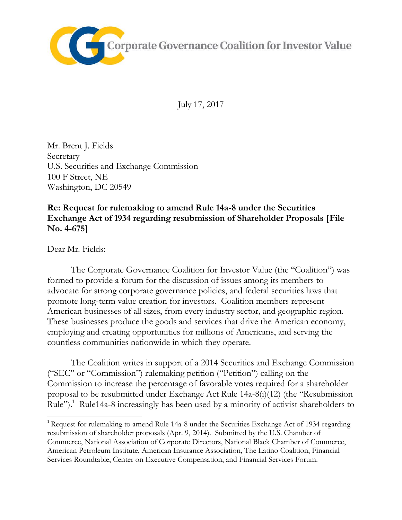

July 17, 2017

Mr. Brent J. Fields Secretary U.S. Securities and Exchange Commission 100 F Street, NE Washington, DC 20549

# **Re: Request for rulemaking to amend Rule 14a-8 under the Securities Exchange Act of 1934 regarding resubmission of Shareholder Proposals [File No. 4-675]**

Dear Mr. Fields:

 $\overline{\phantom{a}}$ 

The Corporate Governance Coalition for Investor Value (the "Coalition") was formed to provide a forum for the discussion of issues among its members to advocate for strong corporate governance policies, and federal securities laws that promote long-term value creation for investors. Coalition members represent American businesses of all sizes, from every industry sector, and geographic region. These businesses produce the goods and services that drive the American economy, employing and creating opportunities for millions of Americans, and serving the countless communities nationwide in which they operate.

The Coalition writes in support of a 2014 Securities and Exchange Commission ("SEC" or "Commission") rulemaking petition ("Petition") calling on the Commission to increase the percentage of favorable votes required for a shareholder proposal to be resubmitted under Exchange Act Rule 14a-8(i)(12) (the "Resubmission Rule").<sup>1</sup> Rule14a-8 increasingly has been used by a minority of activist shareholders to

<sup>&</sup>lt;sup>1</sup> Request for rulemaking to amend Rule 14a-8 under the Securities Exchange Act of 1934 regarding resubmission of shareholder proposals (Apr. 9, 2014). Submitted by the U.S. Chamber of Commerce, National Association of Corporate Directors, National Black Chamber of Commerce, American Petroleum Institute, American Insurance Association, The Latino Coalition, Financial Services Roundtable, Center on Executive Compensation, and Financial Services Forum.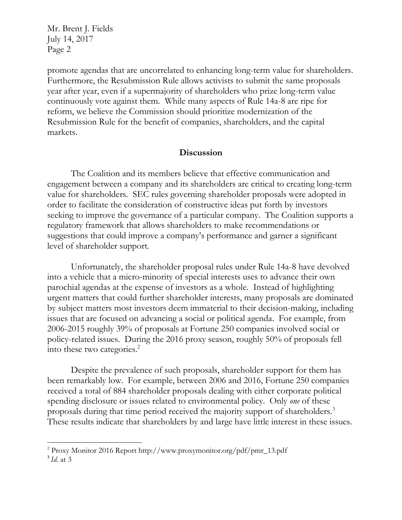promote agendas that are uncorrelated to enhancing long-term value for shareholders. Furthermore, the Resubmission Rule allows activists to submit the same proposals year after year, even if a supermajority of shareholders who prize long-term value continuously vote against them. While many aspects of Rule 14a-8 are ripe for reform, we believe the Commission should prioritize modernization of the Resubmission Rule for the benefit of companies, shareholders, and the capital markets.

### **Discussion**

The Coalition and its members believe that effective communication and engagement between a company and its shareholders are critical to creating long-term value for shareholders. SEC rules governing shareholder proposals were adopted in order to facilitate the consideration of constructive ideas put forth by investors seeking to improve the governance of a particular company. The Coalition supports a regulatory framework that allows shareholders to make recommendations or suggestions that could improve a company's performance and garner a significant level of shareholder support.

Unfortunately, the shareholder proposal rules under Rule 14a-8 have devolved into a vehicle that a micro-minority of special interests uses to advance their own parochial agendas at the expense of investors as a whole. Instead of highlighting urgent matters that could further shareholder interests, many proposals are dominated by subject matters most investors deem immaterial to their decision-making, including issues that are focused on advancing a social or political agenda. For example, from 2006-2015 roughly 39% of proposals at Fortune 250 companies involved social or policy-related issues. During the 2016 proxy season, roughly 50% of proposals fell into these two categories.<sup>2</sup>

Despite the prevalence of such proposals, shareholder support for them has been remarkably low. For example, between 2006 and 2016, Fortune 250 companies received a total of 884 shareholder proposals dealing with either corporate political spending disclosure or issues related to environmental policy. Only *one* of these proposals during that time period received the majority support of shareholders.<sup>3</sup> These results indicate that shareholders by and large have little interest in these issues.

 $\overline{\phantom{a}}$ 

<sup>2</sup> Proxy Monitor 2016 Report http://www.proxymonitor.org/pdf/pmr\_13.pdf

<sup>3</sup> *Id.* at 3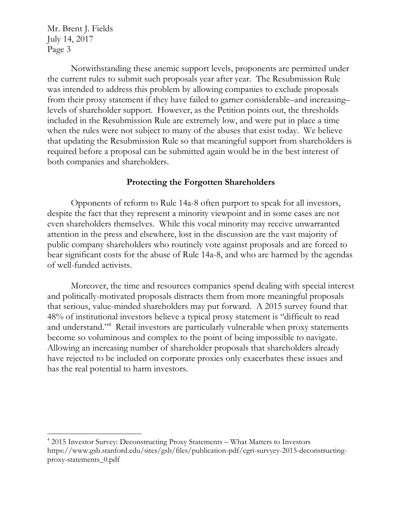$\overline{\phantom{a}}$ 

Notwithstanding these anemic support levels, proponents are permitted under the current rules to submit such proposals year after year. The Resubmission Rule was intended to address this problem by allowing companies to exclude proposals from their proxy statement if they have failed to garner considerable–and increasing– levels of shareholder support. However, as the Petition points out, the thresholds included in the Resubmission Rule are extremely low, and were put in place a time when the rules were not subject to many of the abuses that exist today. We believe that updating the Resubmission Rule so that meaningful support from shareholders is required before a proposal can be submitted again would be in the best interest of both companies and shareholders.

### **Protecting the Forgotten Shareholders**

Opponents of reform to Rule 14a-8 often purport to speak for all investors, despite the fact that they represent a minority viewpoint and in some cases are not even shareholders themselves. While this vocal minority may receive unwarranted attention in the press and elsewhere, lost in the discussion are the vast majority of public company shareholders who routinely vote against proposals and are forced to bear significant costs for the abuse of Rule 14a-8, and who are harmed by the agendas of well-funded activists.

Moreover, the time and resources companies spend dealing with special interest and politically-motivated proposals distracts them from more meaningful proposals that serious, value-minded shareholders may put forward. A 2015 survey found that 48% of institutional investors believe a typical proxy statement is "difficult to read and understand."<sup>4</sup> Retail investors are particularly vulnerable when proxy statements become so voluminous and complex to the point of being impossible to navigate. Allowing an increasing number of shareholder proposals that shareholders already have rejected to be included on corporate proxies only exacerbates these issues and has the real potential to harm investors.

<sup>4</sup> 2015 Investor Survey: Deconstructing Proxy Statements – What Matters to Investors https://www.gsb.stanford.edu/sites/gsb/files/publication-pdf/cgri-survyey-2015-deconstructingproxy-statements\_0.pdf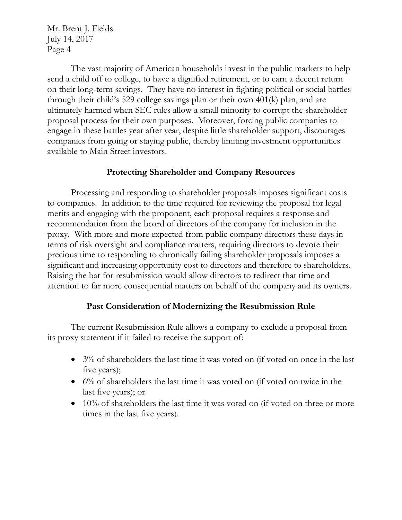The vast majority of American households invest in the public markets to help send a child off to college, to have a dignified retirement, or to earn a decent return on their long-term savings. They have no interest in fighting political or social battles through their child's 529 college savings plan or their own 401(k) plan, and are ultimately harmed when SEC rules allow a small minority to corrupt the shareholder proposal process for their own purposes. Moreover, forcing public companies to engage in these battles year after year, despite little shareholder support, discourages companies from going or staying public, thereby limiting investment opportunities available to Main Street investors.

## **Protecting Shareholder and Company Resources**

Processing and responding to shareholder proposals imposes significant costs to companies. In addition to the time required for reviewing the proposal for legal merits and engaging with the proponent, each proposal requires a response and recommendation from the board of directors of the company for inclusion in the proxy. With more and more expected from public company directors these days in terms of risk oversight and compliance matters, requiring directors to devote their precious time to responding to chronically failing shareholder proposals imposes a significant and increasing opportunity cost to directors and therefore to shareholders. Raising the bar for resubmission would allow directors to redirect that time and attention to far more consequential matters on behalf of the company and its owners.

## **Past Consideration of Modernizing the Resubmission Rule**

The current Resubmission Rule allows a company to exclude a proposal from its proxy statement if it failed to receive the support of:

- 3% of shareholders the last time it was voted on (if voted on once in the last five years);
- $\bullet$  6% of shareholders the last time it was voted on (if voted on twice in the last five years); or
- $\bullet$  10% of shareholders the last time it was voted on (if voted on three or more times in the last five years).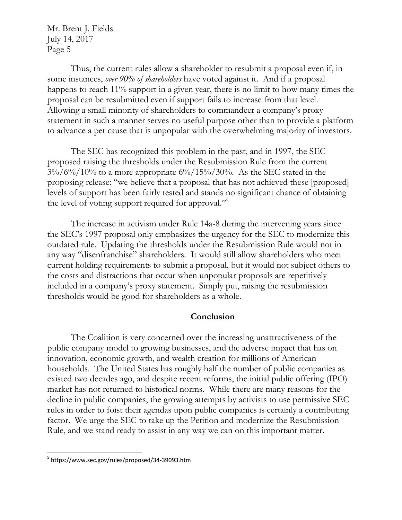Thus, the current rules allow a shareholder to resubmit a proposal even if, in some instances, *over 90% of shareholders* have voted against it. And if a proposal happens to reach 11% support in a given year, there is no limit to how many times the proposal can be resubmitted even if support fails to increase from that level. Allowing a small minority of shareholders to commandeer a company's proxy statement in such a manner serves no useful purpose other than to provide a platform to advance a pet cause that is unpopular with the overwhelming majority of investors.

The SEC has recognized this problem in the past, and in 1997, the SEC proposed raising the thresholds under the Resubmission Rule from the current  $3\%/6\%/10\%$  to a more appropriate  $6\%/15\%/30\%$ . As the SEC stated in the proposing release: "we believe that a proposal that has not achieved these [proposed] levels of support has been fairly tested and stands no significant chance of obtaining the level of voting support required for approval."<sup>5</sup>

The increase in activism under Rule 14a-8 during the intervening years since the SEC's 1997 proposal only emphasizes the urgency for the SEC to modernize this outdated rule. Updating the thresholds under the Resubmission Rule would not in any way "disenfranchise" shareholders. It would still allow shareholders who meet current holding requirements to submit a proposal, but it would not subject others to the costs and distractions that occur when unpopular proposals are repetitively included in a company's proxy statement. Simply put, raising the resubmission thresholds would be good for shareholders as a whole.

#### **Conclusion**

The Coalition is very concerned over the increasing unattractiveness of the public company model to growing businesses, and the adverse impact that has on innovation, economic growth, and wealth creation for millions of American households. The United States has roughly half the number of public companies as existed two decades ago, and despite recent reforms, the initial public offering (IPO) market has not returned to historical norms. While there are many reasons for the decline in public companies, the growing attempts by activists to use permissive SEC rules in order to foist their agendas upon public companies is certainly a contributing factor. We urge the SEC to take up the Petition and modernize the Resubmission Rule, and we stand ready to assist in any way we can on this important matter.

 $\overline{\phantom{a}}$ 

<sup>&</sup>lt;sup>5</sup> https://www.sec.gov/rules/proposed/34-39093.htm